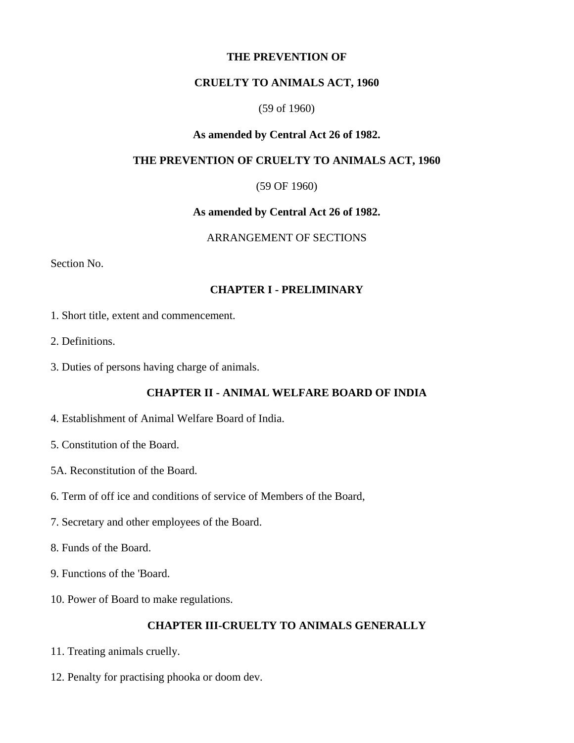#### **THE PREVENTION OF**

## **CRUELTY TO ANIMALS ACT, 1960**

#### (59 of 1960)

## **As amended by Central Act 26 of 1982.**

#### **THE PREVENTION OF CRUELTY TO ANIMALS ACT, 1960**

#### (59 OF 1960)

#### **As amended by Central Act 26 of 1982.**

## ARRANGEMENT OF SECTIONS

Section No.

## **CHAPTER I - PRELIMINARY**

- 1. Short title, extent and commencement.
- 2. Definitions.
- 3. Duties of persons having charge of animals.

## **CHAPTER II - ANIMAL WELFARE BOARD OF INDIA**

- 4. Establishment of Animal Welfare Board of India.
- 5. Constitution of the Board.
- 5A. Reconstitution of the Board.
- 6. Term of off ice and conditions of service of Members of the Board,
- 7. Secretary and other employees of the Board.
- 8. Funds of the Board.
- 9. Functions of the 'Board.
- 10. Power of Board to make regulations.

#### **CHAPTER III-CRUELTY TO ANIMALS GENERALLY**

- 11. Treating animals cruelly.
- 12. Penalty for practising phooka or doom dev.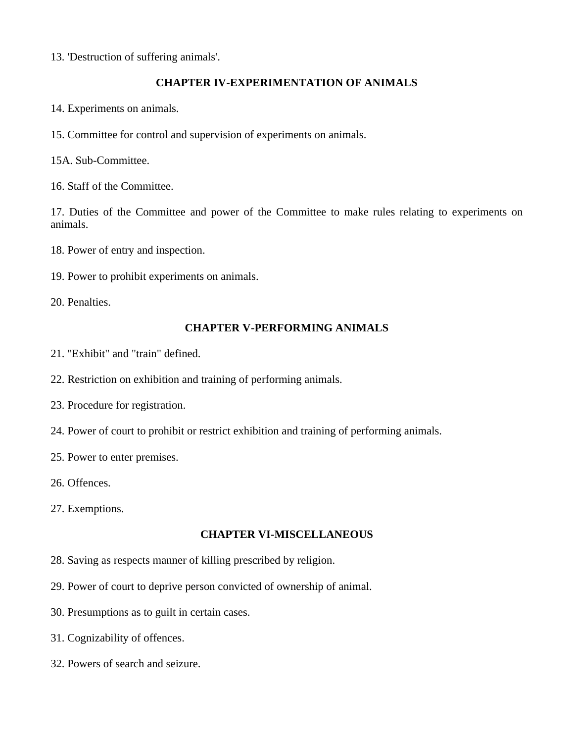13. 'Destruction of suffering animals'.

## **CHAPTER IV-EXPERIMENTATION OF ANIMALS**

- 14. Experiments on animals.
- 15. Committee for control and supervision of experiments on animals.

15A. Sub-Committee.

16. Staff of the Committee.

17. Duties of the Committee and power of the Committee to make rules relating to experiments on animals.

- 18. Power of entry and inspection.
- 19. Power to prohibit experiments on animals.

20. Penalties.

#### **CHAPTER V-PERFORMING ANIMALS**

- 21. "Exhibit" and "train" defined.
- 22. Restriction on exhibition and training of performing animals.
- 23. Procedure for registration.
- 24. Power of court to prohibit or restrict exhibition and training of performing animals.
- 25. Power to enter premises.
- 26. Offences.
- 27. Exemptions.

## **CHAPTER VI-MISCELLANEOUS**

- 28. Saving as respects manner of killing prescribed by religion.
- 29. Power of court to deprive person convicted of ownership of animal.
- 30. Presumptions as to guilt in certain cases.
- 31. Cognizability of offences.
- 32. Powers of search and seizure.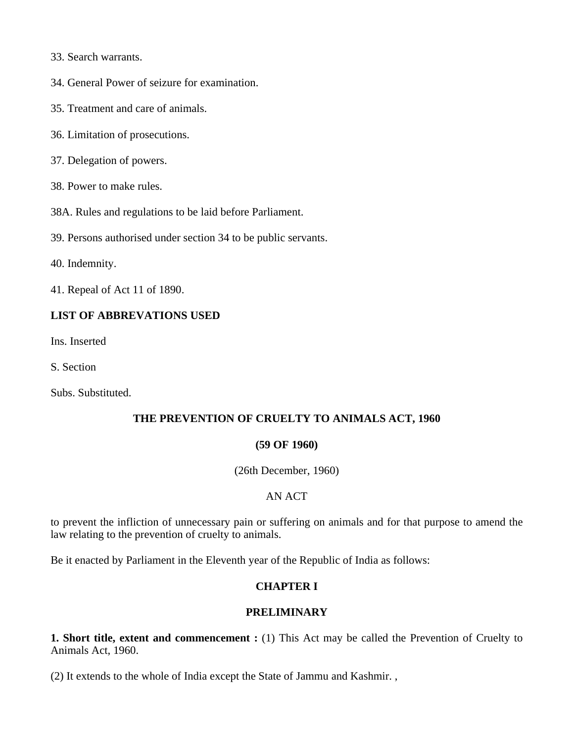- 33. Search warrants.
- 34. General Power of seizure for examination.
- 35. Treatment and care of animals.
- 36. Limitation of prosecutions.
- 37. Delegation of powers.
- 38. Power to make rules.
- 38A. Rules and regulations to be laid before Parliament.
- 39. Persons authorised under section 34 to be public servants.
- 40. Indemnity.
- 41. Repeal of Act 11 of 1890.

## **LIST OF ABBREVATIONS USED**

Ins. Inserted

S. Section

Subs. Substituted.

## **THE PREVENTION OF CRUELTY TO ANIMALS ACT, 1960**

#### **(59 OF 1960)**

(26th December, 1960)

## AN ACT

to prevent the infliction of unnecessary pain or suffering on animals and for that purpose to amend the law relating to the prevention of cruelty to animals.

Be it enacted by Parliament in the Eleventh year of the Republic of India as follows:

## **CHAPTER I**

## **PRELIMINARY**

**1. Short title, extent and commencement :** (1) This Act may be called the Prevention of Cruelty to Animals Act, 1960.

(2) It extends to the whole of India except the State of Jammu and Kashmir. ,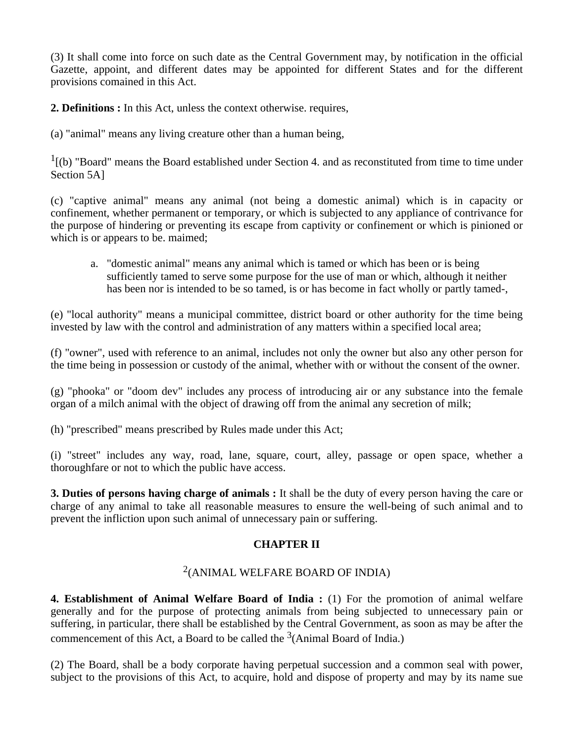(3) It shall come into force on such date as the Central Government may, by notification in the official Gazette, appoint, and different dates may be appointed for different States and for the different provisions comained in this Act.

**2. Definitions :** In this Act, unless the context otherwise. requires,

(a) "animal" means any living creature other than a human being,

<sup>1</sup>[(b) "Board" means the Board established under Section 4. and as reconstituted from time to time under Section 5A]

(c) "captive animal" means any animal (not being a domestic animal) which is in capacity or confinement, whether permanent or temporary, or which is subjected to any appliance of contrivance for the purpose of hindering or preventing its escape from captivity or confinement or which is pinioned or which is or appears to be. maimed;

a. "domestic animal" means any animal which is tamed or which has been or is being sufficiently tamed to serve some purpose for the use of man or which, although it neither has been nor is intended to be so tamed, is or has become in fact wholly or partly tamed-,

(e) "local authority" means a municipal committee, district board or other authority for the time being invested by law with the control and administration of any matters within a specified local area;

(f) "owner", used with reference to an animal, includes not only the owner but also any other person for the time being in possession or custody of the animal, whether with or without the consent of the owner.

(g) "phooka" or "doom dev" includes any process of introducing air or any substance into the female organ of a milch animal with the object of drawing off from the animal any secretion of milk;

(h) "prescribed" means prescribed by Rules made under this Act;

(i) "street" includes any way, road, lane, square, court, alley, passage or open space, whether a thoroughfare or not to which the public have access.

**3. Duties of persons having charge of animals :** It shall be the duty of every person having the care or charge of any animal to take all reasonable measures to ensure the well-being of such animal and to prevent the infliction upon such animal of unnecessary pain or suffering.

## **CHAPTER II**

# 2 (ANIMAL WELFARE BOARD OF INDIA)

**4. Establishment of Animal Welfare Board of India :** (1) For the promotion of animal welfare generally and for the purpose of protecting animals from being subjected to unnecessary pain or suffering, in particular, there shall be established by the Central Government, as soon as may be after the commencement of this Act, a Board to be called the  $3$ (Animal Board of India.)

(2) The Board, shall be a body corporate having perpetual succession and a common seal with power, subject to the provisions of this Act, to acquire, hold and dispose of property and may by its name sue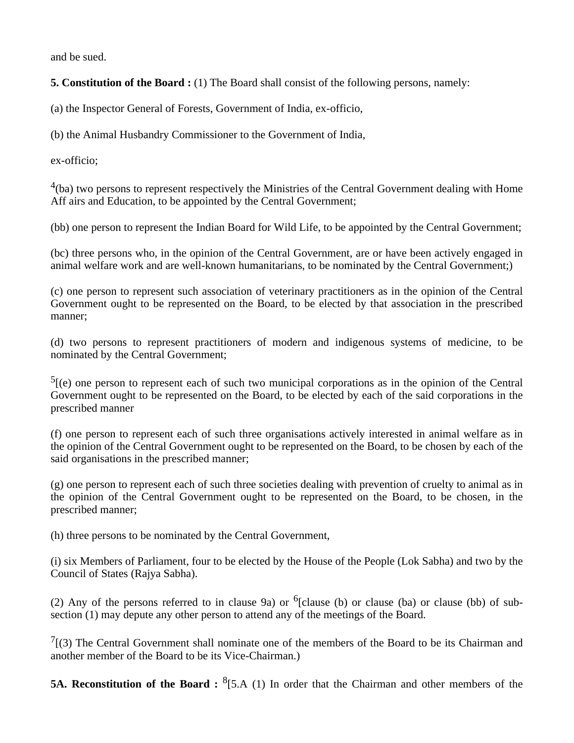and be sued.

**5. Constitution of the Board :** (1) The Board shall consist of the following persons, namely:

(a) the Inspector General of Forests, Government of India, ex-officio,

(b) the Animal Husbandry Commissioner to the Government of India,

ex-officio;

 $4$ (ba) two persons to represent respectively the Ministries of the Central Government dealing with Home Aff airs and Education, to be appointed by the Central Government;

(bb) one person to represent the Indian Board for Wild Life, to be appointed by the Central Government;

(bc) three persons who, in the opinion of the Central Government, are or have been actively engaged in animal welfare work and are well-known humanitarians, to be nominated by the Central Government;)

(c) one person to represent such association of veterinary practitioners as in the opinion of the Central Government ought to be represented on the Board, to be elected by that association in the prescribed manner;

(d) two persons to represent practitioners of modern and indigenous systems of medicine, to be nominated by the Central Government;

 $<sup>5</sup>$ [(e) one person to represent each of such two municipal corporations as in the opinion of the Central</sup> Government ought to be represented on the Board, to be elected by each of the said corporations in the prescribed manner

(f) one person to represent each of such three organisations actively interested in animal welfare as in the opinion of the Central Government ought to be represented on the Board, to be chosen by each of the said organisations in the prescribed manner;

(g) one person to represent each of such three societies dealing with prevention of cruelty to animal as in the opinion of the Central Government ought to be represented on the Board, to be chosen, in the prescribed manner;

(h) three persons to be nominated by the Central Government,

(i) six Members of Parliament, four to be elected by the House of the People (Lok Sabha) and two by the Council of States (Rajya Sabha).

(2) Any of the persons referred to in clause 9a) or  $6$ [clause (b) or clause (ba) or clause (bb) of subsection (1) may depute any other person to attend any of the meetings of the Board.

 $7$ [(3) The Central Government shall nominate one of the members of the Board to be its Chairman and another member of the Board to be its Vice-Chairman.)

**5A. Reconstitution of the Board :** <sup>8</sup>[5.A (1) In order that the Chairman and other members of the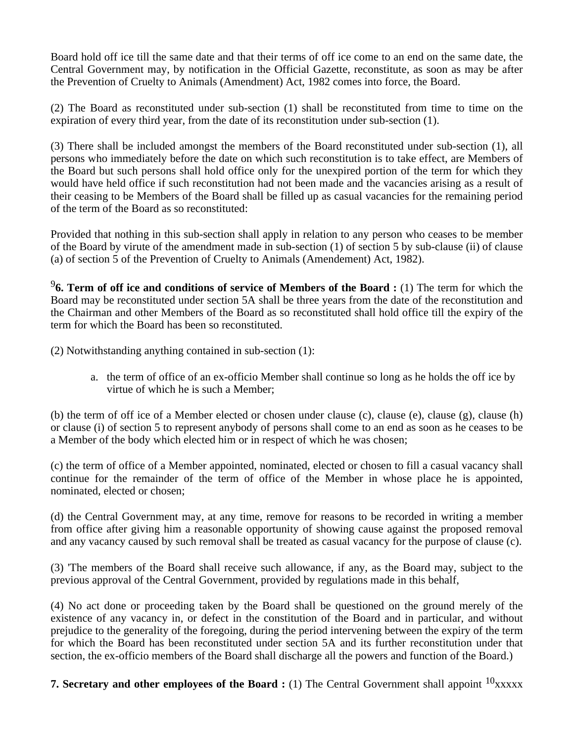Board hold off ice till the same date and that their terms of off ice come to an end on the same date, the Central Government may, by notification in the Official Gazette, reconstitute, as soon as may be after the Prevention of Cruelty to Animals (Amendment) Act, 1982 comes into force, the Board.

(2) The Board as reconstituted under sub-section (1) shall be reconstituted from time to time on the expiration of every third year, from the date of its reconstitution under sub-section (1).

(3) There shall be included amongst the members of the Board reconstituted under sub-section (1), all persons who immediately before the date on which such reconstitution is to take effect, are Members of the Board but such persons shall hold office only for the unexpired portion of the term for which they would have held office if such reconstitution had not been made and the vacancies arising as a result of their ceasing to be Members of the Board shall be filled up as casual vacancies for the remaining period of the term of the Board as so reconstituted:

Provided that nothing in this sub-section shall apply in relation to any person who ceases to be member of the Board by virute of the amendment made in sub-section (1) of section 5 by sub-clause (ii) of clause (a) of section 5 of the Prevention of Cruelty to Animals (Amendement) Act, 1982).

9 **6. Term of off ice and conditions of service of Members of the Board :** (1) The term for which the Board may be reconstituted under section 5A shall be three years from the date of the reconstitution and the Chairman and other Members of the Board as so reconstituted shall hold office till the expiry of the term for which the Board has been so reconstituted.

(2) Notwithstanding anything contained in sub-section (1):

a. the term of office of an ex-officio Member shall continue so long as he holds the off ice by virtue of which he is such a Member;

(b) the term of off ice of a Member elected or chosen under clause (c), clause (e), clause (g), clause (h) or clause (i) of section 5 to represent anybody of persons shall come to an end as soon as he ceases to be a Member of the body which elected him or in respect of which he was chosen;

(c) the term of office of a Member appointed, nominated, elected or chosen to fill a casual vacancy shall continue for the remainder of the term of office of the Member in whose place he is appointed, nominated, elected or chosen;

(d) the Central Government may, at any time, remove for reasons to be recorded in writing a member from office after giving him a reasonable opportunity of showing cause against the proposed removal and any vacancy caused by such removal shall be treated as casual vacancy for the purpose of clause (c).

(3) 'The members of the Board shall receive such allowance, if any, as the Board may, subject to the previous approval of the Central Government, provided by regulations made in this behalf,

(4) No act done or proceeding taken by the Board shall be questioned on the ground merely of the existence of any vacancy in, or defect in the constitution of the Board and in particular, and without prejudice to the generality of the foregoing, during the period intervening between the expiry of the term for which the Board has been reconstituted under section 5A and its further reconstitution under that section, the ex-officio members of the Board shall discharge all the powers and function of the Board.)

**7. Secretary and other employees of the Board <b>:** (1) The Central Government shall appoint <sup>10</sup>xxxxx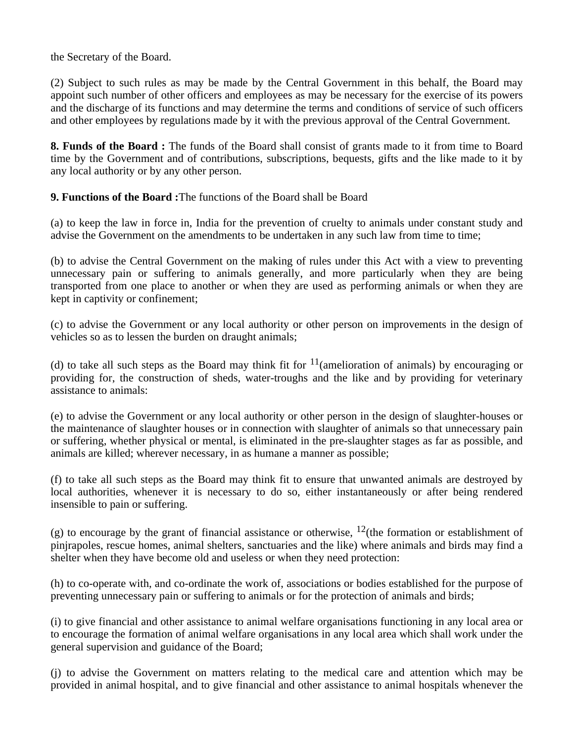the Secretary of the Board.

(2) Subject to such rules as may be made by the Central Government in this behalf, the Board may appoint such number of other officers and employees as may be necessary for the exercise of its powers and the discharge of its functions and may determine the terms and conditions of service of such officers and other employees by regulations made by it with the previous approval of the Central Government.

**8. Funds of the Board :** The funds of the Board shall consist of grants made to it from time to Board time by the Government and of contributions, subscriptions, bequests, gifts and the like made to it by any local authority or by any other person.

**9. Functions of the Board :**The functions of the Board shall be Board

(a) to keep the law in force in, India for the prevention of cruelty to animals under constant study and advise the Government on the amendments to be undertaken in any such law from time to time;

(b) to advise the Central Government on the making of rules under this Act with a view to preventing unnecessary pain or suffering to animals generally, and more particularly when they are being transported from one place to another or when they are used as performing animals or when they are kept in captivity or confinement;

(c) to advise the Government or any local authority or other person on improvements in the design of vehicles so as to lessen the burden on draught animals;

(d) to take all such steps as the Board may think fit for  $11$  (amelioration of animals) by encouraging or providing for, the construction of sheds, water-troughs and the like and by providing for veterinary assistance to animals:

(e) to advise the Government or any local authority or other person in the design of slaughter-houses or the maintenance of slaughter houses or in connection with slaughter of animals so that unnecessary pain or suffering, whether physical or mental, is eliminated in the pre-slaughter stages as far as possible, and animals are killed; wherever necessary, in as humane a manner as possible;

(f) to take all such steps as the Board may think fit to ensure that unwanted animals are destroyed by local authorities, whenever it is necessary to do so, either instantaneously or after being rendered insensible to pain or suffering.

(g) to encourage by the grant of financial assistance or otherwise,  $12$ (the formation or establishment of pinjrapoles, rescue homes, animal shelters, sanctuaries and the like) where animals and birds may find a shelter when they have become old and useless or when they need protection:

(h) to co-operate with, and co-ordinate the work of, associations or bodies established for the purpose of preventing unnecessary pain or suffering to animals or for the protection of animals and birds;

(i) to give financial and other assistance to animal welfare organisations functioning in any local area or to encourage the formation of animal welfare organisations in any local area which shall work under the general supervision and guidance of the Board;

(j) to advise the Government on matters relating to the medical care and attention which may be provided in animal hospital, and to give financial and other assistance to animal hospitals whenever the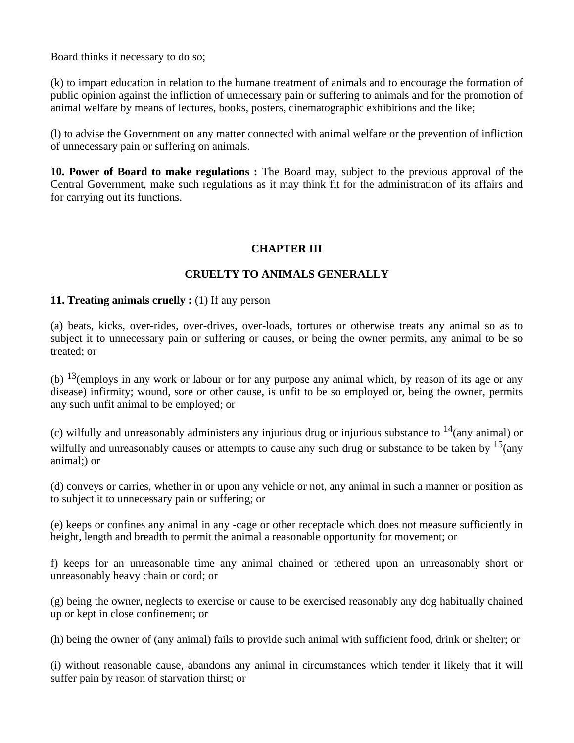Board thinks it necessary to do so;

(k) to impart education in relation to the humane treatment of animals and to encourage the formation of public opinion against the infliction of unnecessary pain or suffering to animals and for the promotion of animal welfare by means of lectures, books, posters, cinematographic exhibitions and the like;

(l) to advise the Government on any matter connected with animal welfare or the prevention of infliction of unnecessary pain or suffering on animals.

**10. Power of Board to make regulations :** The Board may, subject to the previous approval of the Central Government, make such regulations as it may think fit for the administration of its affairs and for carrying out its functions.

## **CHAPTER III**

# **CRUELTY TO ANIMALS GENERALLY**

## **11. Treating animals cruelly :** (1) If any person

(a) beats, kicks, over-rides, over-drives, over-loads, tortures or otherwise treats any animal so as to subject it to unnecessary pain or suffering or causes, or being the owner permits, any animal to be so treated; or

(b)  $^{13}$ (employs in any work or labour or for any purpose any animal which, by reason of its age or any disease) infirmity; wound, sore or other cause, is unfit to be so employed or, being the owner, permits any such unfit animal to be employed; or

(c) wilfully and unreasonably administers any injurious drug or injurious substance to  $14$ (any animal) or wilfully and unreasonably causes or attempts to cause any such drug or substance to be taken by  $15$ (any animal;) or

(d) conveys or carries, whether in or upon any vehicle or not, any animal in such a manner or position as to subject it to unnecessary pain or suffering; or

(e) keeps or confines any animal in any -cage or other receptacle which does not measure sufficiently in height, length and breadth to permit the animal a reasonable opportunity for movement; or

f) keeps for an unreasonable time any animal chained or tethered upon an unreasonably short or unreasonably heavy chain or cord; or

(g) being the owner, neglects to exercise or cause to be exercised reasonably any dog habitually chained up or kept in close confinement; or

(h) being the owner of (any animal) fails to provide such animal with sufficient food, drink or shelter; or

(i) without reasonable cause, abandons any animal in circumstances which tender it likely that it will suffer pain by reason of starvation thirst; or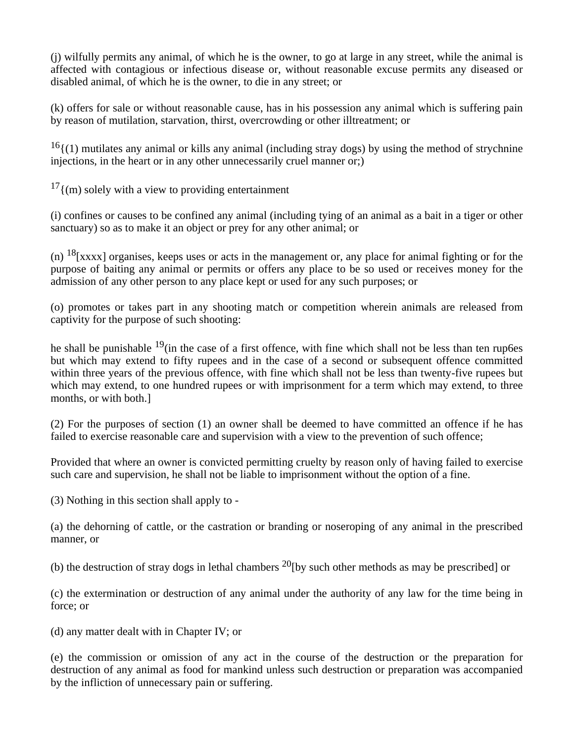(j) wilfully permits any animal, of which he is the owner, to go at large in any street, while the animal is affected with contagious or infectious disease or, without reasonable excuse permits any diseased or disabled animal, of which he is the owner, to die in any street; or

(k) offers for sale or without reasonable cause, has in his possession any animal which is suffering pain by reason of mutilation, starvation, thirst, overcrowding or other illtreatment; or

 $16$ {(1) mutilates any animal or kills any animal (including stray dogs) by using the method of strychnine injections, in the heart or in any other unnecessarily cruel manner or;)

 $17$ {(m) solely with a view to providing entertainment

(i) confines or causes to be confined any animal (including tying of an animal as a bait in a tiger or other sanctuary) so as to make it an object or prey for any other animal; or

(n)  $^{18}$ [xxxx] organises, keeps uses or acts in the management or, any place for animal fighting or for the purpose of baiting any animal or permits or offers any place to be so used or receives money for the admission of any other person to any place kept or used for any such purposes; or

(o) promotes or takes part in any shooting match or competition wherein animals are released from captivity for the purpose of such shooting:

he shall be punishable  $19$ (in the case of a first offence, with fine which shall not be less than ten rup6es but which may extend to fifty rupees and in the case of a second or subsequent offence committed within three years of the previous offence, with fine which shall not be less than twenty-five rupees but which may extend, to one hundred rupees or with imprisonment for a term which may extend, to three months, or with both.]

(2) For the purposes of section (1) an owner shall be deemed to have committed an offence if he has failed to exercise reasonable care and supervision with a view to the prevention of such offence;

Provided that where an owner is convicted permitting cruelty by reason only of having failed to exercise such care and supervision, he shall not be liable to imprisonment without the option of a fine.

(3) Nothing in this section shall apply to -

(a) the dehorning of cattle, or the castration or branding or noseroping of any animal in the prescribed manner, or

(b) the destruction of stray dogs in lethal chambers  $^{20}$ [by such other methods as may be prescribed] or

(c) the extermination or destruction of any animal under the authority of any law for the time being in force; or

(d) any matter dealt with in Chapter IV; or

(e) the commission or omission of any act in the course of the destruction or the preparation for destruction of any animal as food for mankind unless such destruction or preparation was accompanied by the infliction of unnecessary pain or suffering.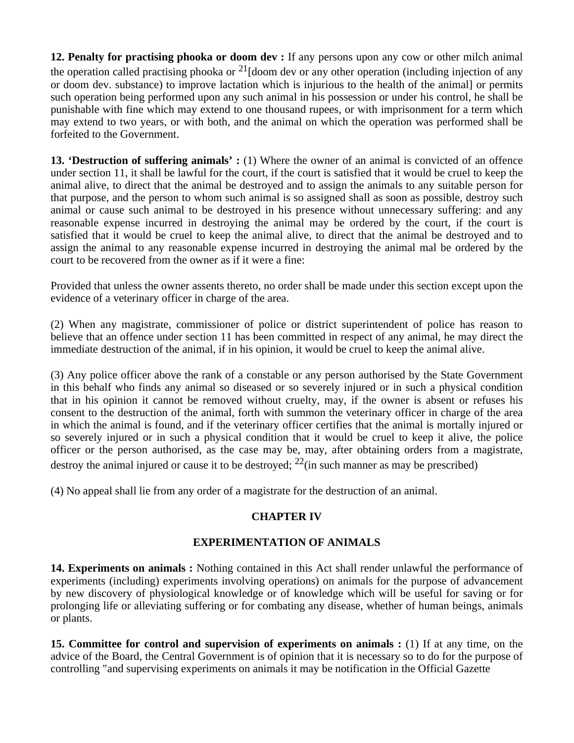**12. Penalty for practising phooka or doom dev :** If any persons upon any cow or other milch animal the operation called practising phooka or  $^{21}$ [doom dev or any other operation (including injection of any or doom dev. substance) to improve lactation which is injurious to the health of the animal] or permits such operation being performed upon any such animal in his possession or under his control, he shall be punishable with fine which may extend to one thousand rupees, or with imprisonment for a term which may extend to two years, or with both, and the animal on which the operation was performed shall be forfeited to the Government.

**13. 'Destruction of suffering animals' :** (1) Where the owner of an animal is convicted of an offence under section 11, it shall be lawful for the court, if the court is satisfied that it would be cruel to keep the animal alive, to direct that the animal be destroyed and to assign the animals to any suitable person for that purpose, and the person to whom such animal is so assigned shall as soon as possible, destroy such animal or cause such animal to be destroyed in his presence without unnecessary suffering: and any reasonable expense incurred in destroying the animal may be ordered by the court, if the court is satisfied that it would be cruel to keep the animal alive, to direct that the animal be destroyed and to assign the animal to any reasonable expense incurred in destroying the animal mal be ordered by the court to be recovered from the owner as if it were a fine:

Provided that unless the owner assents thereto, no order shall be made under this section except upon the evidence of a veterinary officer in charge of the area.

(2) When any magistrate, commissioner of police or district superintendent of police has reason to believe that an offence under section 11 has been committed in respect of any animal, he may direct the immediate destruction of the animal, if in his opinion, it would be cruel to keep the animal alive.

(3) Any police officer above the rank of a constable or any person authorised by the State Government in this behalf who finds any animal so diseased or so severely injured or in such a physical condition that in his opinion it cannot be removed without cruelty, may, if the owner is absent or refuses his consent to the destruction of the animal, forth with summon the veterinary officer in charge of the area in which the animal is found, and if the veterinary officer certifies that the animal is mortally injured or so severely injured or in such a physical condition that it would be cruel to keep it alive, the police officer or the person authorised, as the case may be, may, after obtaining orders from a magistrate, destroy the animal injured or cause it to be destroyed;  $^{22}$ (in such manner as may be prescribed)

(4) No appeal shall lie from any order of a magistrate for the destruction of an animal.

## **CHAPTER IV**

## **EXPERIMENTATION OF ANIMALS**

**14. Experiments on animals :** Nothing contained in this Act shall render unlawful the performance of experiments (including) experiments involving operations) on animals for the purpose of advancement by new discovery of physiological knowledge or of knowledge which will be useful for saving or for prolonging life or alleviating suffering or for combating any disease, whether of human beings, animals or plants.

**15. Committee for control and supervision of experiments on animals :** (1) If at any time, on the advice of the Board, the Central Government is of opinion that it is necessary so to do for the purpose of controlling "and supervising experiments on animals it may be notification in the Official Gazette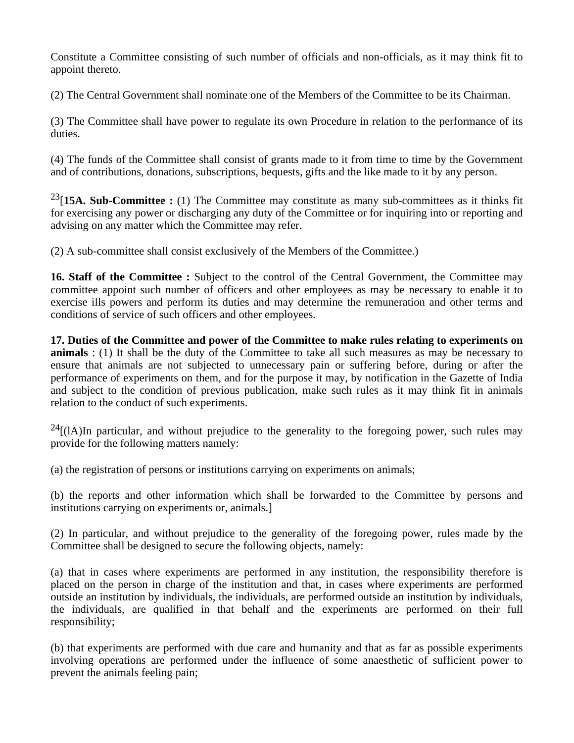Constitute a Committee consisting of such number of officials and non-officials, as it may think fit to appoint thereto.

(2) The Central Government shall nominate one of the Members of the Committee to be its Chairman.

(3) The Committee shall have power to regulate its own Procedure in relation to the performance of its duties.

(4) The funds of the Committee shall consist of grants made to it from time to time by the Government and of contributions, donations, subscriptions, bequests, gifts and the like made to it by any person.

<sup>23</sup>[15A. Sub-Committee : (1) The Committee may constitute as many sub-committees as it thinks fit for exercising any power or discharging any duty of the Committee or for inquiring into or reporting and advising on any matter which the Committee may refer.

(2) A sub-committee shall consist exclusively of the Members of the Committee.)

**16. Staff of the Committee :** Subject to the control of the Central Government, the Committee may committee appoint such number of officers and other employees as may be necessary to enable it to exercise ills powers and perform its duties and may determine the remuneration and other terms and conditions of service of such officers and other employees.

**17. Duties of the Committee and power of the Committee to make rules relating to experiments on animals** : (1) It shall be the duty of the Committee to take all such measures as may be necessary to ensure that animals are not subjected to unnecessary pain or suffering before, during or after the performance of experiments on them, and for the purpose it may, by notification in the Gazette of India and subject to the condition of previous publication, make such rules as it may think fit in animals relation to the conduct of such experiments.

 $^{24}$ [(lA)In particular, and without prejudice to the generality to the foregoing power, such rules may provide for the following matters namely:

(a) the registration of persons or institutions carrying on experiments on animals;

(b) the reports and other information which shall be forwarded to the Committee by persons and institutions carrying on experiments or, animals.]

(2) In particular, and without prejudice to the generality of the foregoing power, rules made by the Committee shall be designed to secure the following objects, namely:

(a) that in cases where experiments are performed in any institution, the responsibility therefore is placed on the person in charge of the institution and that, in cases where experiments are performed outside an institution by individuals, the individuals, are performed outside an institution by individuals, the individuals, are qualified in that behalf and the experiments are performed on their full responsibility;

(b) that experiments are performed with due care and humanity and that as far as possible experiments involving operations are performed under the influence of some anaesthetic of sufficient power to prevent the animals feeling pain;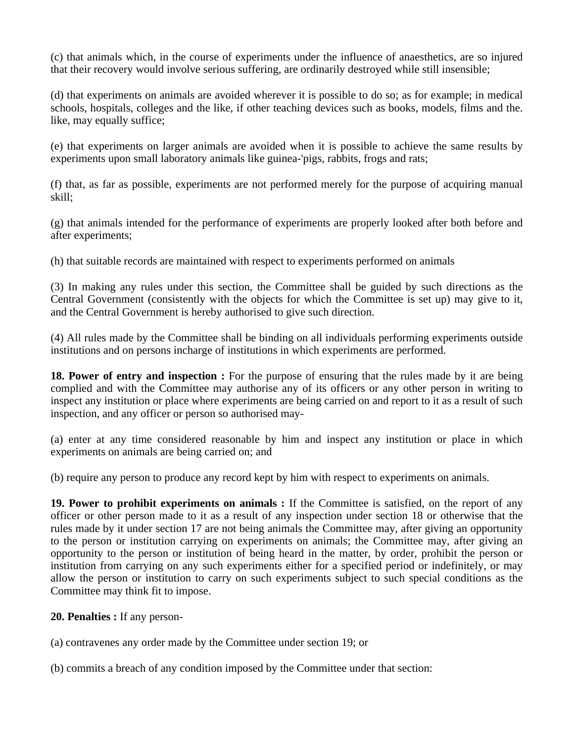(c) that animals which, in the course of experiments under the influence of anaesthetics, are so injured that their recovery would involve serious suffering, are ordinarily destroyed while still insensible;

(d) that experiments on animals are avoided wherever it is possible to do so; as for example; in medical schools, hospitals, colleges and the like, if other teaching devices such as books, models, films and the. like, may equally suffice;

(e) that experiments on larger animals are avoided when it is possible to achieve the same results by experiments upon small laboratory animals like guinea-'pigs, rabbits, frogs and rats;

(f) that, as far as possible, experiments are not performed merely for the purpose of acquiring manual skill;

(g) that animals intended for the performance of experiments are properly looked after both before and after experiments;

(h) that suitable records are maintained with respect to experiments performed on animals

(3) In making any rules under this section, the Committee shall be guided by such directions as the Central Government (consistently with the objects for which the Committee is set up) may give to it, and the Central Government is hereby authorised to give such direction.

(4) All rules made by the Committee shall be binding on all individuals performing experiments outside institutions and on persons incharge of institutions in which experiments are performed.

18. Power of entry and inspection : For the purpose of ensuring that the rules made by it are being complied and with the Committee may authorise any of its officers or any other person in writing to inspect any institution or place where experiments are being carried on and report to it as a result of such inspection, and any officer or person so authorised may-

(a) enter at any time considered reasonable by him and inspect any institution or place in which experiments on animals are being carried on; and

(b) require any person to produce any record kept by him with respect to experiments on animals.

**19. Power to prohibit experiments on animals :** If the Committee is satisfied, on the report of any officer or other person made to it as a result of any inspection under section 18 or otherwise that the rules made by it under section 17 are not being animals the Committee may, after giving an opportunity to the person or institution carrying on experiments on animals; the Committee may, after giving an opportunity to the person or institution of being heard in the matter, by order, prohibit the person or institution from carrying on any such experiments either for a specified period or indefinitely, or may allow the person or institution to carry on such experiments subject to such special conditions as the Committee may think fit to impose.

**20. Penalties :** If any person-

(a) contravenes any order made by the Committee under section 19; or

(b) commits a breach of any condition imposed by the Committee under that section: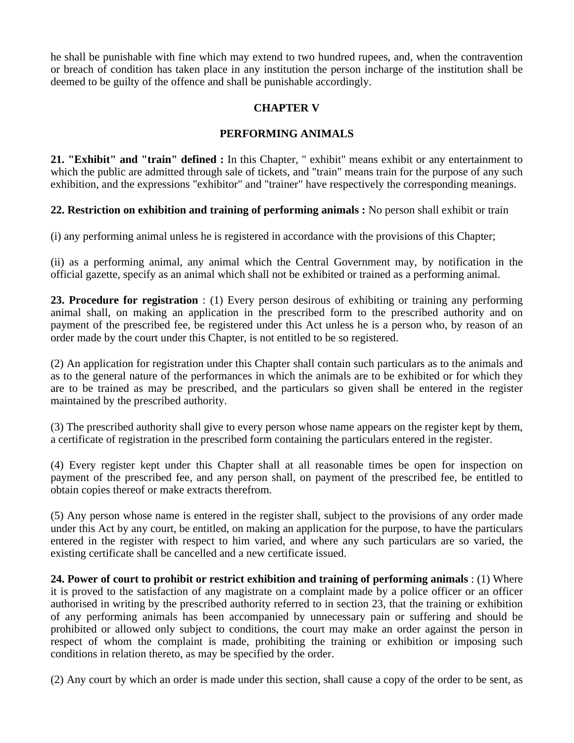he shall be punishable with fine which may extend to two hundred rupees, and, when the contravention or breach of condition has taken place in any institution the person incharge of the institution shall be deemed to be guilty of the offence and shall be punishable accordingly.

# **CHAPTER V**

# **PERFORMING ANIMALS**

**21. "Exhibit" and "train" defined :** In this Chapter, " exhibit" means exhibit or any entertainment to which the public are admitted through sale of tickets, and "train" means train for the purpose of any such exhibition, and the expressions "exhibitor" and "trainer" have respectively the corresponding meanings.

## **22. Restriction on exhibition and training of performing animals :** No person shall exhibit or train

(i) any performing animal unless he is registered in accordance with the provisions of this Chapter;

(ii) as a performing animal, any animal which the Central Government may, by notification in the official gazette, specify as an animal which shall not be exhibited or trained as a performing animal.

**23. Procedure for registration** : (1) Every person desirous of exhibiting or training any performing animal shall, on making an application in the prescribed form to the prescribed authority and on payment of the prescribed fee, be registered under this Act unless he is a person who, by reason of an order made by the court under this Chapter, is not entitled to be so registered.

(2) An application for registration under this Chapter shall contain such particulars as to the animals and as to the general nature of the performances in which the animals are to be exhibited or for which they are to be trained as may be prescribed, and the particulars so given shall be entered in the register maintained by the prescribed authority.

(3) The prescribed authority shall give to every person whose name appears on the register kept by them, a certificate of registration in the prescribed form containing the particulars entered in the register.

(4) Every register kept under this Chapter shall at all reasonable times be open for inspection on payment of the prescribed fee, and any person shall, on payment of the prescribed fee, be entitled to obtain copies thereof or make extracts therefrom.

(5) Any person whose name is entered in the register shall, subject to the provisions of any order made under this Act by any court, be entitled, on making an application for the purpose, to have the particulars entered in the register with respect to him varied, and where any such particulars are so varied, the existing certificate shall be cancelled and a new certificate issued.

**24. Power of court to prohibit or restrict exhibition and training of performing animals** : (1) Where it is proved to the satisfaction of any magistrate on a complaint made by a police officer or an officer authorised in writing by the prescribed authority referred to in section 23, that the training or exhibition of any performing animals has been accompanied by unnecessary pain or suffering and should be prohibited or allowed only subject to conditions, the court may make an order against the person in respect of whom the complaint is made, prohibiting the training or exhibition or imposing such conditions in relation thereto, as may be specified by the order.

(2) Any court by which an order is made under this section, shall cause a copy of the order to be sent, as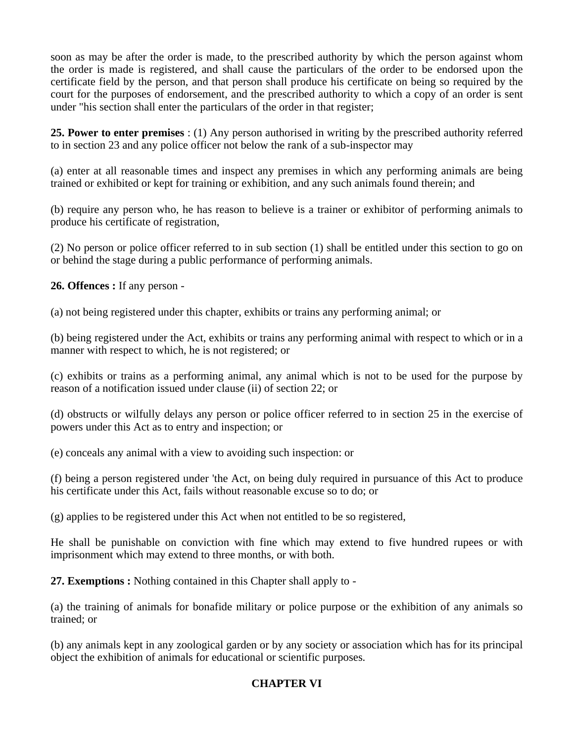soon as may be after the order is made, to the prescribed authority by which the person against whom the order is made is registered, and shall cause the particulars of the order to be endorsed upon the certificate field by the person, and that person shall produce his certificate on being so required by the court for the purposes of endorsement, and the prescribed authority to which a copy of an order is sent under "his section shall enter the particulars of the order in that register;

**25. Power to enter premises** : (1) Any person authorised in writing by the prescribed authority referred to in section 23 and any police officer not below the rank of a sub-inspector may

(a) enter at all reasonable times and inspect any premises in which any performing animals are being trained or exhibited or kept for training or exhibition, and any such animals found therein; and

(b) require any person who, he has reason to believe is a trainer or exhibitor of performing animals to produce his certificate of registration,

(2) No person or police officer referred to in sub section (1) shall be entitled under this section to go on or behind the stage during a public performance of performing animals.

**26. Offences :** If any person -

(a) not being registered under this chapter, exhibits or trains any performing animal; or

(b) being registered under the Act, exhibits or trains any performing animal with respect to which or in a manner with respect to which, he is not registered; or

(c) exhibits or trains as a performing animal, any animal which is not to be used for the purpose by reason of a notification issued under clause (ii) of section 22; or

(d) obstructs or wilfully delays any person or police officer referred to in section 25 in the exercise of powers under this Act as to entry and inspection; or

(e) conceals any animal with a view to avoiding such inspection: or

(f) being a person registered under 'the Act, on being duly required in pursuance of this Act to produce his certificate under this Act, fails without reasonable excuse so to do; or

(g) applies to be registered under this Act when not entitled to be so registered,

He shall be punishable on conviction with fine which may extend to five hundred rupees or with imprisonment which may extend to three months, or with both.

**27. Exemptions :** Nothing contained in this Chapter shall apply to -

(a) the training of animals for bonafide military or police purpose or the exhibition of any animals so trained; or

(b) any animals kept in any zoological garden or by any society or association which has for its principal object the exhibition of animals for educational or scientific purposes.

## **CHAPTER VI**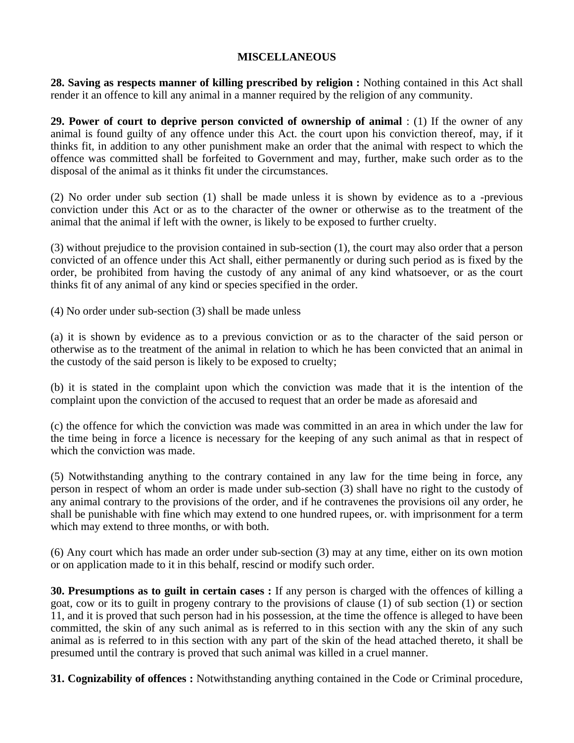## **MISCELLANEOUS**

**28. Saving as respects manner of killing prescribed by religion :** Nothing contained in this Act shall render it an offence to kill any animal in a manner required by the religion of any community.

**29. Power of court to deprive person convicted of ownership of animal** : (1) If the owner of any animal is found guilty of any offence under this Act. the court upon his conviction thereof, may, if it thinks fit, in addition to any other punishment make an order that the animal with respect to which the offence was committed shall be forfeited to Government and may, further, make such order as to the disposal of the animal as it thinks fit under the circumstances.

(2) No order under sub section (1) shall be made unless it is shown by evidence as to a -previous conviction under this Act or as to the character of the owner or otherwise as to the treatment of the animal that the animal if left with the owner, is likely to be exposed to further cruelty.

(3) without prejudice to the provision contained in sub-section (1), the court may also order that a person convicted of an offence under this Act shall, either permanently or during such period as is fixed by the order, be prohibited from having the custody of any animal of any kind whatsoever, or as the court thinks fit of any animal of any kind or species specified in the order.

(4) No order under sub-section (3) shall be made unless

(a) it is shown by evidence as to a previous conviction or as to the character of the said person or otherwise as to the treatment of the animal in relation to which he has been convicted that an animal in the custody of the said person is likely to be exposed to cruelty;

(b) it is stated in the complaint upon which the conviction was made that it is the intention of the complaint upon the conviction of the accused to request that an order be made as aforesaid and

(c) the offence for which the conviction was made was committed in an area in which under the law for the time being in force a licence is necessary for the keeping of any such animal as that in respect of which the conviction was made.

(5) Notwithstanding anything to the contrary contained in any law for the time being in force, any person in respect of whom an order is made under sub-section (3) shall have no right to the custody of any animal contrary to the provisions of the order, and if he contravenes the provisions oil any order, he shall be punishable with fine which may extend to one hundred rupees, or. with imprisonment for a term which may extend to three months, or with both.

(6) Any court which has made an order under sub-section (3) may at any time, either on its own motion or on application made to it in this behalf, rescind or modify such order.

**30. Presumptions as to guilt in certain cases :** If any person is charged with the offences of killing a goat, cow or its to guilt in progeny contrary to the provisions of clause (1) of sub section (1) or section 11, and it is proved that such person had in his possession, at the time the offence is alleged to have been committed, the skin of any such animal as is referred to in this section with any the skin of any such animal as is referred to in this section with any part of the skin of the head attached thereto, it shall be presumed until the contrary is proved that such animal was killed in a cruel manner.

**31. Cognizability of offences :** Notwithstanding anything contained in the Code or Criminal procedure,